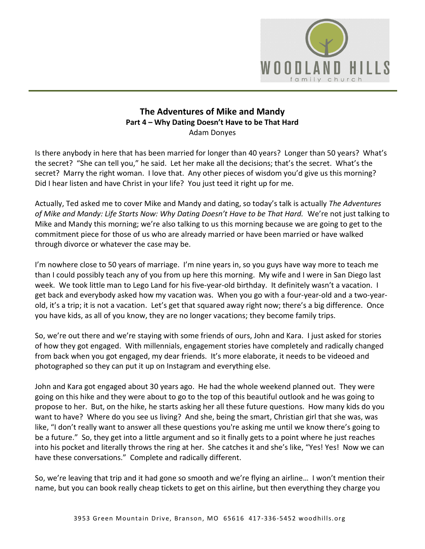

# **The Adventures of Mike and Mandy Part 4 – Why Dating Doesn't Have to be That Hard** Adam Donyes

Is there anybody in here that has been married for longer than 40 years? Longer than 50 years? What's the secret? "She can tell you," he said. Let her make all the decisions; that's the secret. What's the secret? Marry the right woman. I love that. Any other pieces of wisdom you'd give us this morning? Did I hear listen and have Christ in your life? You just teed it right up for me.

Actually, Ted asked me to cover Mike and Mandy and dating, so today's talk is actually *The Adventures of Mike and Mandy: Life Starts Now: Why Dating Doesn't Have to be That Hard.* We're not just talking to Mike and Mandy this morning; we're also talking to us this morning because we are going to get to the commitment piece for those of us who are already married or have been married or have walked through divorce or whatever the case may be.

I'm nowhere close to 50 years of marriage. I'm nine years in, so you guys have way more to teach me than I could possibly teach any of you from up here this morning. My wife and I were in San Diego last week. We took little man to Lego Land for his five-year-old birthday. It definitely wasn't a vacation. I get back and everybody asked how my vacation was. When you go with a four-year-old and a two-yearold, it's a trip; it is not a vacation. Let's get that squared away right now; there's a big difference. Once you have kids, as all of you know, they are no longer vacations; they become family trips.

So, we're out there and we're staying with some friends of ours, John and Kara. I just asked for stories of how they got engaged. With millennials, engagement stories have completely and radically changed from back when you got engaged, my dear friends. It's more elaborate, it needs to be videoed and photographed so they can put it up on Instagram and everything else.

John and Kara got engaged about 30 years ago. He had the whole weekend planned out. They were going on this hike and they were about to go to the top of this beautiful outlook and he was going to propose to her. But, on the hike, he starts asking her all these future questions. How many kids do you want to have? Where do you see us living? And she, being the smart, Christian girl that she was, was like, "I don't really want to answer all these questions you're asking me until we know there's going to be a future." So, they get into a little argument and so it finally gets to a point where he just reaches into his pocket and literally throws the ring at her. She catches it and she's like, "Yes! Yes! Now we can have these conversations." Complete and radically different.

So, we're leaving that trip and it had gone so smooth and we're flying an airline… I won't mention their name, but you can book really cheap tickets to get on this airline, but then everything they charge you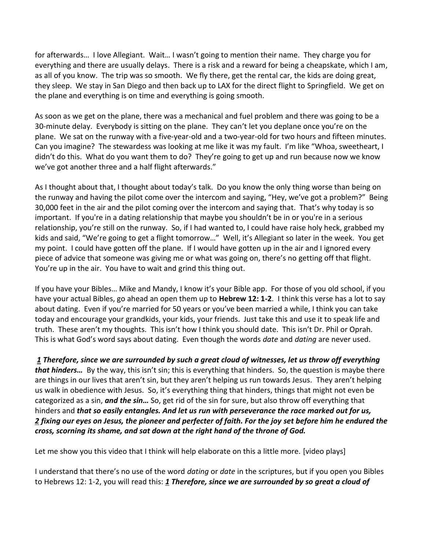for afterwards… I love Allegiant. Wait… I wasn't going to mention their name. They charge you for everything and there are usually delays. There is a risk and a reward for being a cheapskate, which I am, as all of you know. The trip was so smooth. We fly there, get the rental car, the kids are doing great, they sleep. We stay in San Diego and then back up to LAX for the direct flight to Springfield. We get on the plane and everything is on time and everything is going smooth.

As soon as we get on the plane, there was a mechanical and fuel problem and there was going to be a 30-minute delay. Everybody is sitting on the plane. They can't let you deplane once you're on the plane. We sat on the runway with a five-year-old and a two-year-old for two hours and fifteen minutes. Can you imagine? The stewardess was looking at me like it was my fault. I'm like "Whoa, sweetheart, I didn't do this. What do you want them to do? They're going to get up and run because now we know we've got another three and a half flight afterwards."

As I thought about that, I thought about today's talk. Do you know the only thing worse than being on the runway and having the pilot come over the intercom and saying, "Hey, we've got a problem?" Being 30,000 feet in the air and the pilot coming over the intercom and saying that. That's why today is so important. If you're in a dating relationship that maybe you shouldn't be in or you're in a serious relationship, you're still on the runway. So, if I had wanted to, I could have raise holy heck, grabbed my kids and said, "We're going to get a flight tomorrow…" Well, it's Allegiant so later in the week. You get my point. I could have gotten off the plane. If I would have gotten up in the air and I ignored every piece of advice that someone was giving me or what was going on, there's no getting off that flight. You're up in the air. You have to wait and grind this thing out.

If you have your Bibles… Mike and Mandy, I know it's your Bible app. For those of you old school, if you have your actual Bibles, go ahead an open them up to **Hebrew 12: 1-2**. I think this verse has a lot to say about dating. Even if you're married for 50 years or you've been married a while, I think you can take today and encourage your grandkids, your kids, your friends. Just take this and use it to speak life and truth. These aren't my thoughts. This isn't how I think you should date. This isn't Dr. Phil or Oprah. This is what God's word says about dating. Even though the words *date* and *dating* are never used.

*[1](http://www.studylight.org/desk/?q=heb%2012:1&t1=en_niv&sr=1) Therefore, since we are surrounded by such a great cloud of witnesses, let us throw off everything that hinders…* By the way, this isn't sin; this is everything that hinders. So, the question is maybe there are things in our lives that aren't sin, but they aren't helping us run towards Jesus. They aren't helping us walk in obedience with Jesus. So, it's everything thing that hinders, things that might not even be categorized as a sin, *and the sin…* So, get rid of the sin for sure, but also throw off everything that hinders and *that so easily entangles. And let us run with perseverance the race marked out for us, [2](http://www.studylight.org/desk/?q=heb%2012:2&t1=en_niv&sr=1) fixing our eyes on Jesus, the pioneer and perfecter of faith. For the joy set before him he endured the cross, scorning its shame, and sat down at the right hand of the throne of God.*

Let me show you this video that I think will help elaborate on this a little more. [video plays]

I understand that there's no use of the word *dating* or *date* in the scriptures, but if you open you Bibles to Hebrews 12: 1-2, you will read this: *[1](http://www.studylight.org/desk/?q=heb%2012:1&t1=en_niv&sr=1) Therefore, since we are surrounded by so great a cloud of*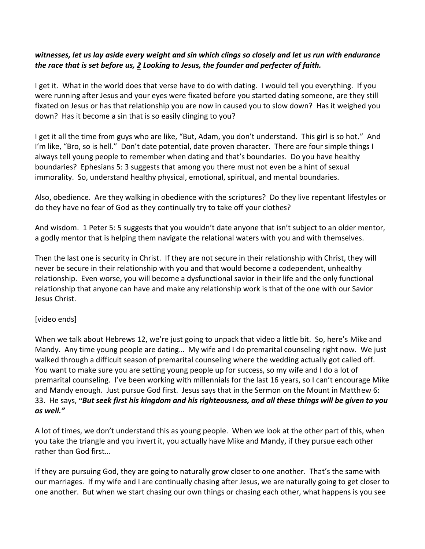# *witnesses, let us lay aside every weight and sin which clings so closely and let us run with endurance the race that is set before us, [2](http://www.studylight.org/desk/?q=heb%2012:2&t1=en_niv&sr=1) Looking to Jesus, the founder and perfecter of faith.*

I get it. What in the world does that verse have to do with dating. I would tell you everything. If you were running after Jesus and your eyes were fixated before you started dating someone, are they still fixated on Jesus or has that relationship you are now in caused you to slow down? Has it weighed you down? Has it become a sin that is so easily clinging to you?

I get it all the time from guys who are like, "But, Adam, you don't understand. This girl is so hot." And I'm like, "Bro, so is hell." Don't date potential, date proven character. There are four simple things I always tell young people to remember when dating and that's boundaries. Do you have healthy boundaries? Ephesians 5: 3 suggests that among you there must not even be a hint of sexual immorality. So, understand healthy physical, emotional, spiritual, and mental boundaries.

Also, obedience. Are they walking in obedience with the scriptures? Do they live repentant lifestyles or do they have no fear of God as they continually try to take off your clothes?

And wisdom. 1 Peter 5: 5 suggests that you wouldn't date anyone that isn't subject to an older mentor, a godly mentor that is helping them navigate the relational waters with you and with themselves.

Then the last one is security in Christ. If they are not secure in their relationship with Christ, they will never be secure in their relationship with you and that would become a codependent, unhealthy relationship. Even worse, you will become a dysfunctional savior in their life and the only functional relationship that anyone can have and make any relationship work is that of the one with our Savior Jesus Christ.

#### [video ends]

When we talk about Hebrews 12, we're just going to unpack that video a little bit. So, here's Mike and Mandy. Any time young people are dating… My wife and I do premarital counseling right now. We just walked through a difficult season of premarital counseling where the wedding actually got called off. You want to make sure you are setting young people up for success, so my wife and I do a lot of premarital counseling. I've been working with millennials for the last 16 years, so I can't encourage Mike and Mandy enough. Just pursue God first. Jesus says that in the Sermon on the Mount in Matthew 6: 33. He says, "*But seek first his kingdom and his righteousness, and all these things will be given to you as well."*

A lot of times, we don't understand this as young people. When we look at the other part of this, when you take the triangle and you invert it, you actually have Mike and Mandy, if they pursue each other rather than God first…

If they are pursuing God, they are going to naturally grow closer to one another. That's the same with our marriages. If my wife and I are continually chasing after Jesus, we are naturally going to get closer to one another. But when we start chasing our own things or chasing each other, what happens is you see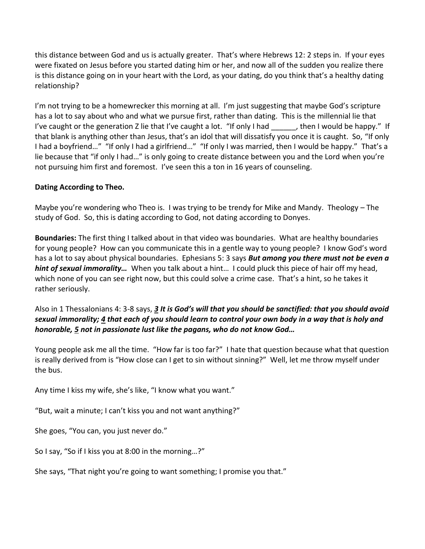this distance between God and us is actually greater. That's where Hebrews 12: 2 steps in. If your eyes were fixated on Jesus before you started dating him or her, and now all of the sudden you realize there is this distance going on in your heart with the Lord, as your dating, do you think that's a healthy dating relationship?

I'm not trying to be a homewrecker this morning at all. I'm just suggesting that maybe God's scripture has a lot to say about who and what we pursue first, rather than dating. This is the millennial lie that I've caught or the generation Z lie that I've caught a lot. "If only I had  $\blacksquare$ , then I would be happy." If that blank is anything other than Jesus, that's an idol that will dissatisfy you once it is caught. So, "If only I had a boyfriend…" "If only I had a girlfriend…" "If only I was married, then I would be happy." That's a lie because that "if only I had…" is only going to create distance between you and the Lord when you're not pursuing him first and foremost. I've seen this a ton in 16 years of counseling.

#### **Dating According to Theo.**

Maybe you're wondering who Theo is. I was trying to be trendy for Mike and Mandy. Theology – The study of God. So, this is dating according to God, not dating according to Donyes.

**Boundaries:** The first thing I talked about in that video was boundaries. What are healthy boundaries for young people? How can you communicate this in a gentle way to young people? I know God's word has a lot to say about physical boundaries. Ephesians 5: 3 says *But among you there must not be even a hint of sexual immorality…* When you talk about a hint… I could pluck this piece of hair off my head, which none of you can see right now, but this could solve a crime case. That's a hint, so he takes it rather seriously.

# Also in 1 Thessalonians 4: 3-8 says, *[3](http://www.studylight.org/desk/?q=1th%204:3&t1=en_niv&sr=1) It is God's will that you should be sanctified: that you should avoid sexual immorality[; 4](http://www.studylight.org/desk/?q=1th%204:4&t1=en_niv&sr=1) that each of you should learn to control your own body in a way that is holy and honorable, [5](http://www.studylight.org/desk/?q=1th%204:5&t1=en_niv&sr=1) not in passionate lust like the pagans, who do not know God…*

Young people ask me all the time. "How far is too far?" I hate that question because what that question is really derived from is "How close can I get to sin without sinning?" Well, let me throw myself under the bus.

Any time I kiss my wife, she's like, "I know what you want."

"But, wait a minute; I can't kiss you and not want anything?"

She goes, "You can, you just never do."

So I say, "So if I kiss you at 8:00 in the morning…?"

She says, "That night you're going to want something; I promise you that."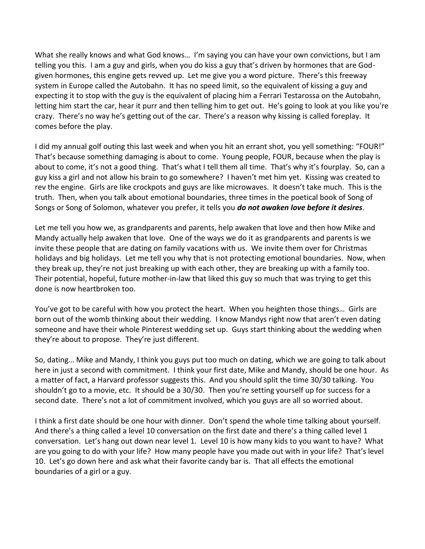What she really knows and what God knows… I'm saying you can have your own convictions, but I am telling you this. I am a guy and girls, when you do kiss a guy that's driven by hormones that are Godgiven hormones, this engine gets revved up. Let me give you a word picture. There's this freeway system in Europe called the Autobahn. It has no speed limit, so the equivalent of kissing a guy and expecting it to stop with the guy is the equivalent of placing him a Ferrari Testarossa on the Autobahn, letting him start the car, hear it purr and then telling him to get out. He's going to look at you like you're crazy. There's no way he's getting out of the car. There's a reason why kissing is called foreplay. It comes before the play.

I did my annual golf outing this last week and when you hit an errant shot, you yell something: "FOUR!" That's because something damaging is about to come. Young people, FOUR, because when the play is about to come, it's not a good thing. That's what I tell them all time. That's why it's fourplay. So, can a guy kiss a girl and not allow his brain to go somewhere? I haven't met him yet. Kissing was created to rev the engine. Girls are like crockpots and guys are like microwaves. It doesn't take much. This is the truth. Then, when you talk about emotional boundaries, three times in the poetical book of Song of Songs or Song of Solomon, whatever you prefer, it tells you *do not awaken love before it desires*.

Let me tell you how we, as grandparents and parents, help awaken that love and then how Mike and Mandy actually help awaken that love. One of the ways we do it as grandparents and parents is we invite these people that are dating on family vacations with us. We invite them over for Christmas holidays and big holidays. Let me tell you why that is not protecting emotional boundaries. Now, when they break up, they're not just breaking up with each other, they are breaking up with a family too. Their potential, hopeful, future mother-in-law that liked this guy so much that was trying to get this done is now heartbroken too.

You've got to be careful with how you protect the heart. When you heighten those things… Girls are born out of the womb thinking about their wedding. I know Mandys right now that aren't even dating someone and have their whole Pinterest wedding set up. Guys start thinking about the wedding when they're about to propose. They're just different.

So, dating… Mike and Mandy, I think you guys put too much on dating, which we are going to talk about here in just a second with commitment. I think your first date, Mike and Mandy, should be one hour. As a matter of fact, a Harvard professor suggests this. And you should split the time 30/30 talking. You shouldn't go to a movie, etc. It should be a 30/30. Then you're setting yourself up for success for a second date. There's not a lot of commitment involved, which you guys are all so worried about.

I think a first date should be one hour with dinner. Don't spend the whole time talking about yourself. And there's a thing called a level 10 conversation on the first date and there's a thing called level 1 conversation. Let's hang out down near level 1. Level 10 is how many kids to you want to have? What are you going to do with your life? How many people have you made out with in your life? That's level 10. Let's go down here and ask what their favorite candy bar is. That all effects the emotional boundaries of a girl or a guy.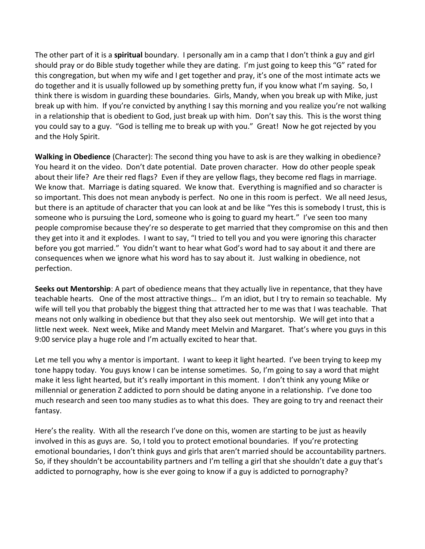The other part of it is a **spiritual** boundary. I personally am in a camp that I don't think a guy and girl should pray or do Bible study together while they are dating. I'm just going to keep this "G" rated for this congregation, but when my wife and I get together and pray, it's one of the most intimate acts we do together and it is usually followed up by something pretty fun, if you know what I'm saying. So, I think there is wisdom in guarding these boundaries. Girls, Mandy, when you break up with Mike, just break up with him. If you're convicted by anything I say this morning and you realize you're not walking in a relationship that is obedient to God, just break up with him. Don't say this. This is the worst thing you could say to a guy. "God is telling me to break up with you." Great! Now he got rejected by you and the Holy Spirit.

**Walking in Obedience** (Character): The second thing you have to ask is are they walking in obedience? You heard it on the video. Don't date potential. Date proven character. How do other people speak about their life? Are their red flags? Even if they are yellow flags, they become red flags in marriage. We know that. Marriage is dating squared. We know that. Everything is magnified and so character is so important. This does not mean anybody is perfect. No one in this room is perfect. We all need Jesus, but there is an aptitude of character that you can look at and be like "Yes this is somebody I trust, this is someone who is pursuing the Lord, someone who is going to guard my heart." I've seen too many people compromise because they're so desperate to get married that they compromise on this and then they get into it and it explodes. I want to say, "I tried to tell you and you were ignoring this character before you got married." You didn't want to hear what God's word had to say about it and there are consequences when we ignore what his word has to say about it. Just walking in obedience, not perfection.

**Seeks out Mentorship**: A part of obedience means that they actually live in repentance, that they have teachable hearts. One of the most attractive things… I'm an idiot, but I try to remain so teachable. My wife will tell you that probably the biggest thing that attracted her to me was that I was teachable. That means not only walking in obedience but that they also seek out mentorship. We will get into that a little next week. Next week, Mike and Mandy meet Melvin and Margaret. That's where you guys in this 9:00 service play a huge role and I'm actually excited to hear that.

Let me tell you why a mentor is important. I want to keep it light hearted. I've been trying to keep my tone happy today. You guys know I can be intense sometimes. So, I'm going to say a word that might make it less light hearted, but it's really important in this moment. I don't think any young Mike or millennial or generation Z addicted to porn should be dating anyone in a relationship. I've done too much research and seen too many studies as to what this does. They are going to try and reenact their fantasy.

Here's the reality. With all the research I've done on this, women are starting to be just as heavily involved in this as guys are. So, I told you to protect emotional boundaries. If you're protecting emotional boundaries, I don't think guys and girls that aren't married should be accountability partners. So, if they shouldn't be accountability partners and I'm telling a girl that she shouldn't date a guy that's addicted to pornography, how is she ever going to know if a guy is addicted to pornography?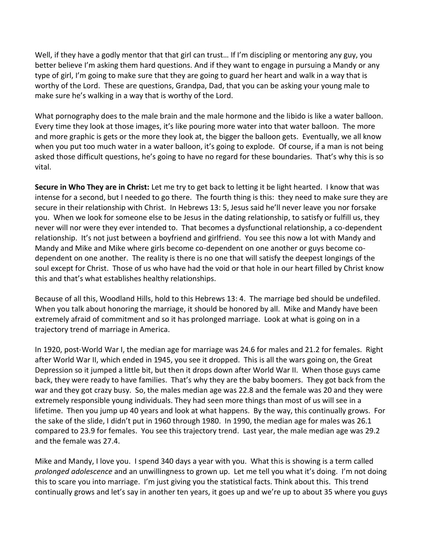Well, if they have a godly mentor that that girl can trust... If I'm discipling or mentoring any guy, you better believe I'm asking them hard questions. And if they want to engage in pursuing a Mandy or any type of girl, I'm going to make sure that they are going to guard her heart and walk in a way that is worthy of the Lord. These are questions, Grandpa, Dad, that you can be asking your young male to make sure he's walking in a way that is worthy of the Lord.

What pornography does to the male brain and the male hormone and the libido is like a water balloon. Every time they look at those images, it's like pouring more water into that water balloon. The more and more graphic is gets or the more they look at, the bigger the balloon gets. Eventually, we all know when you put too much water in a water balloon, it's going to explode. Of course, if a man is not being asked those difficult questions, he's going to have no regard for these boundaries. That's why this is so vital.

**Secure in Who They are in Christ:** Let me try to get back to letting it be light hearted. I know that was intense for a second, but I needed to go there. The fourth thing is this: they need to make sure they are secure in their relationship with Christ. In Hebrews 13: 5, Jesus said he'll never leave you nor forsake you. When we look for someone else to be Jesus in the dating relationship, to satisfy or fulfill us, they never will nor were they ever intended to. That becomes a dysfunctional relationship, a co-dependent relationship. It's not just between a boyfriend and girlfriend. You see this now a lot with Mandy and Mandy and Mike and Mike where girls become co-dependent on one another or guys become codependent on one another. The reality is there is no one that will satisfy the deepest longings of the soul except for Christ. Those of us who have had the void or that hole in our heart filled by Christ know this and that's what establishes healthy relationships.

Because of all this, Woodland Hills, hold to this Hebrews 13: 4. The marriage bed should be undefiled. When you talk about honoring the marriage, it should be honored by all. Mike and Mandy have been extremely afraid of commitment and so it has prolonged marriage. Look at what is going on in a trajectory trend of marriage in America.

In 1920, post-World War I, the median age for marriage was 24.6 for males and 21.2 for females. Right after World War II, which ended in 1945, you see it dropped. This is all the wars going on, the Great Depression so it jumped a little bit, but then it drops down after World War II. When those guys came back, they were ready to have families. That's why they are the baby boomers. They got back from the war and they got crazy busy. So, the males median age was 22.8 and the female was 20 and they were extremely responsible young individuals. They had seen more things than most of us will see in a lifetime. Then you jump up 40 years and look at what happens. By the way, this continually grows. For the sake of the slide, I didn't put in 1960 through 1980. In 1990, the median age for males was 26.1 compared to 23.9 for females. You see this trajectory trend. Last year, the male median age was 29.2 and the female was 27.4.

Mike and Mandy, I love you. I spend 340 days a year with you. What this is showing is a term called *prolonged adolescence* and an unwillingness to grown up. Let me tell you what it's doing. I'm not doing this to scare you into marriage. I'm just giving you the statistical facts. Think about this. This trend continually grows and let's say in another ten years, it goes up and we're up to about 35 where you guys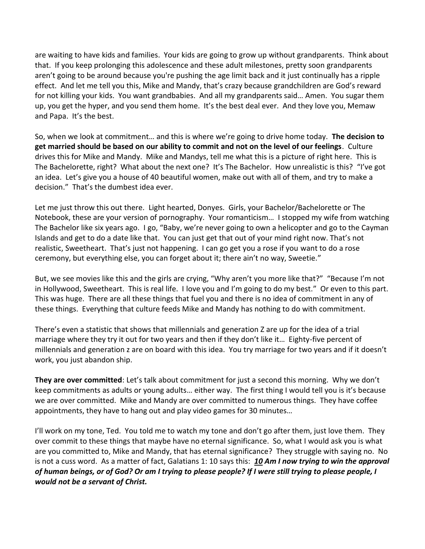are waiting to have kids and families. Your kids are going to grow up without grandparents. Think about that. If you keep prolonging this adolescence and these adult milestones, pretty soon grandparents aren't going to be around because you're pushing the age limit back and it just continually has a ripple effect. And let me tell you this, Mike and Mandy, that's crazy because grandchildren are God's reward for not killing your kids. You want grandbabies. And all my grandparents said… Amen. You sugar them up, you get the hyper, and you send them home. It's the best deal ever. And they love you, Memaw and Papa. It's the best.

So, when we look at commitment… and this is where we're going to drive home today. **The decision to get married should be based on our ability to commit and not on the level of our feelings**. Culture drives this for Mike and Mandy. Mike and Mandys, tell me what this is a picture of right here. This is The Bachelorette, right? What about the next one? It's The Bachelor. How unrealistic is this? "I've got an idea. Let's give you a house of 40 beautiful women, make out with all of them, and try to make a decision." That's the dumbest idea ever.

Let me just throw this out there. Light hearted, Donyes. Girls, your Bachelor/Bachelorette or The Notebook, these are your version of pornography. Your romanticism… I stopped my wife from watching The Bachelor like six years ago. I go, "Baby, we're never going to own a helicopter and go to the Cayman Islands and get to do a date like that. You can just get that out of your mind right now. That's not realistic, Sweetheart. That's just not happening. I can go get you a rose if you want to do a rose ceremony, but everything else, you can forget about it; there ain't no way, Sweetie."

But, we see movies like this and the girls are crying, "Why aren't you more like that?" "Because I'm not in Hollywood, Sweetheart. This is real life. I love you and I'm going to do my best." Or even to this part. This was huge. There are all these things that fuel you and there is no idea of commitment in any of these things. Everything that culture feeds Mike and Mandy has nothing to do with commitment.

There's even a statistic that shows that millennials and generation Z are up for the idea of a trial marriage where they try it out for two years and then if they don't like it… Eighty-five percent of millennials and generation z are on board with this idea. You try marriage for two years and if it doesn't work, you just abandon ship.

**They are over committed**: Let's talk about commitment for just a second this morning. Why we don't keep commitments as adults or young adults… either way. The first thing I would tell you is it's because we are over committed. Mike and Mandy are over committed to numerous things. They have coffee appointments, they have to hang out and play video games for 30 minutes…

I'll work on my tone, Ted. You told me to watch my tone and don't go after them, just love them. They over commit to these things that maybe have no eternal significance. So, what I would ask you is what are you committed to, Mike and Mandy, that has eternal significance? They struggle with saying no. No is not a cuss word. As a matter of fact, Galatians 1: 10 says this: *[10](http://www.studylight.org/desk/?q=ga%201:10&t1=en_niv&sr=1) Am I now trying to win the approval of human beings, or of God? Or am I trying to please people? If I were still trying to please people, I would not be a servant of Christ.*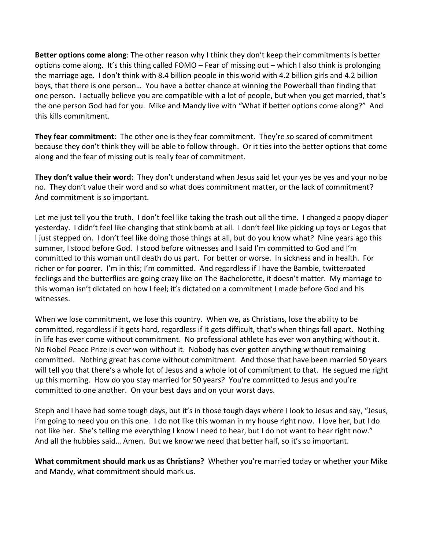**Better options come along**: The other reason why I think they don't keep their commitments is better options come along. It's this thing called FOMO – Fear of missing out – which I also think is prolonging the marriage age. I don't think with 8.4 billion people in this world with 4.2 billion girls and 4.2 billion boys, that there is one person… You have a better chance at winning the Powerball than finding that one person. I actually believe you are compatible with a lot of people, but when you get married, that's the one person God had for you. Mike and Mandy live with "What if better options come along?" And this kills commitment.

**They fear commitment**: The other one is they fear commitment. They're so scared of commitment because they don't think they will be able to follow through. Or it ties into the better options that come along and the fear of missing out is really fear of commitment.

**They don't value their word:** They don't understand when Jesus said let your yes be yes and your no be no. They don't value their word and so what does commitment matter, or the lack of commitment? And commitment is so important.

Let me just tell you the truth. I don't feel like taking the trash out all the time. I changed a poopy diaper yesterday. I didn't feel like changing that stink bomb at all. I don't feel like picking up toys or Legos that I just stepped on. I don't feel like doing those things at all, but do you know what? Nine years ago this summer, I stood before God. I stood before witnesses and I said I'm committed to God and I'm committed to this woman until death do us part. For better or worse. In sickness and in health. For richer or for poorer. I'm in this; I'm committed. And regardless if I have the Bambie, twitterpated feelings and the butterflies are going crazy like on The Bachelorette, it doesn't matter. My marriage to this woman isn't dictated on how I feel; it's dictated on a commitment I made before God and his witnesses.

When we lose commitment, we lose this country. When we, as Christians, lose the ability to be committed, regardless if it gets hard, regardless if it gets difficult, that's when things fall apart. Nothing in life has ever come without commitment. No professional athlete has ever won anything without it. No Nobel Peace Prize is ever won without it. Nobody has ever gotten anything without remaining committed. Nothing great has come without commitment. And those that have been married 50 years will tell you that there's a whole lot of Jesus and a whole lot of commitment to that. He segued me right up this morning. How do you stay married for 50 years? You're committed to Jesus and you're committed to one another. On your best days and on your worst days.

Steph and I have had some tough days, but it's in those tough days where I look to Jesus and say, "Jesus, I'm going to need you on this one. I do not like this woman in my house right now. I love her, but I do not like her. She's telling me everything I know I need to hear, but I do not want to hear right now." And all the hubbies said… Amen. But we know we need that better half, so it's so important.

**What commitment should mark us as Christians?** Whether you're married today or whether your Mike and Mandy, what commitment should mark us.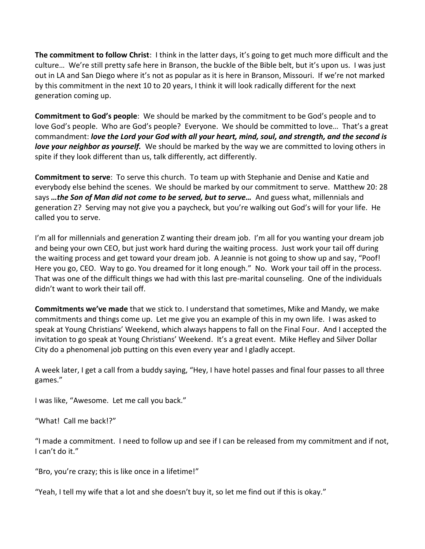**The commitment to follow Christ**: I think in the latter days, it's going to get much more difficult and the culture… We're still pretty safe here in Branson, the buckle of the Bible belt, but it's upon us. I was just out in LA and San Diego where it's not as popular as it is here in Branson, Missouri. If we're not marked by this commitment in the next 10 to 20 years, I think it will look radically different for the next generation coming up.

**Commitment to God's people**: We should be marked by the commitment to be God's people and to love God's people. Who are God's people? Everyone. We should be committed to love… That's a great commandment: *love the Lord your God with all your heart, mind, soul, and strength, and the second is love your neighbor as yourself.* We should be marked by the way we are committed to loving others in spite if they look different than us, talk differently, act differently.

**Commitment to serve**: To serve this church. To team up with Stephanie and Denise and Katie and everybody else behind the scenes. We should be marked by our commitment to serve. Matthew 20: 28 says *…the Son of Man did not come to be served, but to serve…* And guess what, millennials and generation Z? Serving may not give you a paycheck, but you're walking out God's will for your life. He called you to serve.

I'm all for millennials and generation Z wanting their dream job. I'm all for you wanting your dream job and being your own CEO, but just work hard during the waiting process. Just work your tail off during the waiting process and get toward your dream job. A Jeannie is not going to show up and say, "Poof! Here you go, CEO. Way to go. You dreamed for it long enough." No. Work your tail off in the process. That was one of the difficult things we had with this last pre-marital counseling. One of the individuals didn't want to work their tail off.

**Commitments we've made** that we stick to. I understand that sometimes, Mike and Mandy, we make commitments and things come up. Let me give you an example of this in my own life. I was asked to speak at Young Christians' Weekend, which always happens to fall on the Final Four. And I accepted the invitation to go speak at Young Christians' Weekend. It's a great event. Mike Hefley and Silver Dollar City do a phenomenal job putting on this even every year and I gladly accept.

A week later, I get a call from a buddy saying, "Hey, I have hotel passes and final four passes to all three games."

I was like, "Awesome. Let me call you back."

"What! Call me back!?"

"I made a commitment. I need to follow up and see if I can be released from my commitment and if not, I can't do it."

"Bro, you're crazy; this is like once in a lifetime!"

"Yeah, I tell my wife that a lot and she doesn't buy it, so let me find out if this is okay."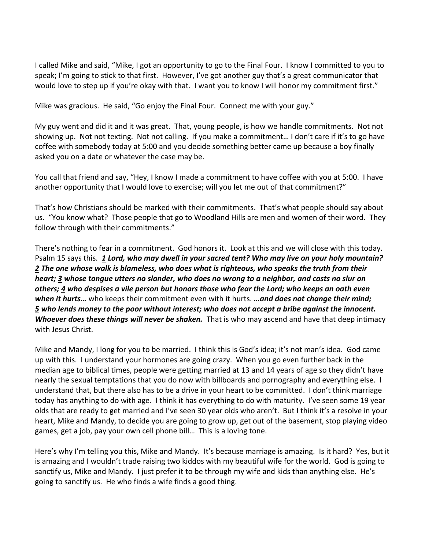I called Mike and said, "Mike, I got an opportunity to go to the Final Four. I know I committed to you to speak; I'm going to stick to that first. However, I've got another guy that's a great communicator that would love to step up if you're okay with that. I want you to know I will honor my commitment first."

Mike was gracious. He said, "Go enjoy the Final Four. Connect me with your guy."

My guy went and did it and it was great. That, young people, is how we handle commitments. Not not showing up. Not not texting. Not not calling. If you make a commitment… I don't care if it's to go have coffee with somebody today at 5:00 and you decide something better came up because a boy finally asked you on a date or whatever the case may be.

You call that friend and say, "Hey, I know I made a commitment to have coffee with you at 5:00. I have another opportunity that I would love to exercise; will you let me out of that commitment?"

That's how Christians should be marked with their commitments. That's what people should say about us. "You know what? Those people that go to Woodland Hills are men and women of their word. They follow through with their commitments."

There's nothing to fear in a commitment. God honors it. Look at this and we will close with this today. Psalm 15 says this. *[1](http://www.studylight.org/desk/?q=ps%2015:1&t1=en_niv&sr=1) Lord, who may dwell in your sacred tent? Who may live on your holy mountain? [2](http://www.studylight.org/desk/?q=ps%2015:2&t1=en_niv&sr=1) The one whose walk is blameless, who does what is righteous, who speaks the truth from their heart; [3](http://www.studylight.org/desk/?q=ps%2015:3&t1=en_niv&sr=1) whose tongue utters no slander, who does no wrong to a neighbor, and casts no slur on others; [4](http://www.studylight.org/desk/?q=ps%2015:4&t1=en_niv&sr=1) who despises a vile person but honors those who fear the Lord; who keeps an oath even when it hurts…* who keeps their commitment even with it hurts. *…and does not change their mind; [5](http://www.studylight.org/desk/?q=ps%2015:5&t1=en_niv&sr=1) who lends money to the poor without interest; who does not accept a bribe against the innocent. Whoever does these things will never be shaken.* That is who may ascend and have that deep intimacy with Jesus Christ.

Mike and Mandy, I long for you to be married. I think this is God's idea; it's not man's idea. God came up with this. I understand your hormones are going crazy. When you go even further back in the median age to biblical times, people were getting married at 13 and 14 years of age so they didn't have nearly the sexual temptations that you do now with billboards and pornography and everything else. I understand that, but there also has to be a drive in your heart to be committed. I don't think marriage today has anything to do with age. I think it has everything to do with maturity. I've seen some 19 year olds that are ready to get married and I've seen 30 year olds who aren't. But I think it's a resolve in your heart, Mike and Mandy, to decide you are going to grow up, get out of the basement, stop playing video games, get a job, pay your own cell phone bill… This is a loving tone.

Here's why I'm telling you this, Mike and Mandy. It's because marriage is amazing. Is it hard? Yes, but it is amazing and I wouldn't trade raising two kiddos with my beautiful wife for the world. God is going to sanctify us, Mike and Mandy. I just prefer it to be through my wife and kids than anything else. He's going to sanctify us. He who finds a wife finds a good thing.